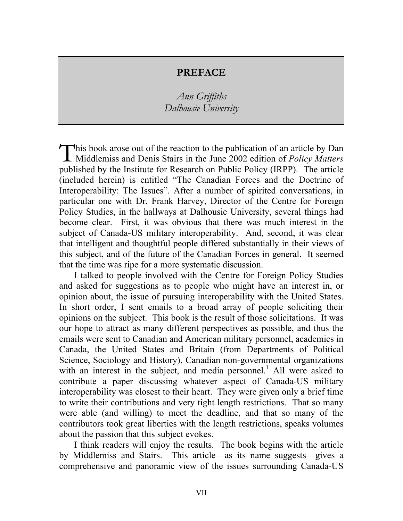## **PREFACE**

*Ann Griffiths Dalhousie University*

This book arose out of the reaction to the publication of an article by Dan Middlemiss and Denis Stairs in the June 2002 edition of *Policy Matters* published by the Institute for Research on Public Policy (IRPP). The article (included herein) is entitled "The Canadian Forces and the Doctrine of Interoperability: The Issues". After a number of spirited conversations, in particular one with Dr. Frank Harvey, Director of the Centre for Foreign Policy Studies, in the hallways at Dalhousie University, several things had become clear. First, it was obvious that there was much interest in the subject of Canada-US military interoperability. And, second, it was clear that intelligent and thoughtful people differed substantially in their views of this subject, and of the future of the Canadian Forces in general. It seemed that the time was ripe for a more systematic discussion.

I talked to people involved with the Centre for Foreign Policy Studies and asked for suggestions as to people who might have an interest in, or opinion about, the issue of pursuing interoperability with the United States. In short order, I sent emails to a broad array of people soliciting their opinions on the subject. This book is the result of those solicitations. It was our hope to attract as many different perspectives as possible, and thus the emails were sent to Canadian and American military personnel, academics in Canada, the United States and Britain (from Departments of Political Science, Sociology and History), Canadian non-governmental organizations with an interest in the subject, and media personnel.<sup>1</sup> All were asked to contribute a paper discussing whatever aspect of Canada-US military interoperability was closest to their heart. They were given only a brief time to write their contributions and very tight length restrictions. That so many were able (and willing) to meet the deadline, and that so many of the contributors took great liberties with the length restrictions, speaks volumes about the passion that this subject evokes.

I think readers will enjoy the results. The book begins with the article by Middlemiss and Stairs. This article—as its name suggests—gives a comprehensive and panoramic view of the issues surrounding Canada-US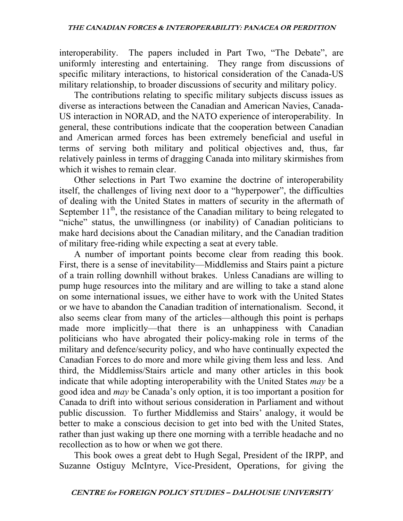interoperability. The papers included in Part Two, "The Debate", are uniformly interesting and entertaining. They range from discussions of specific military interactions, to historical consideration of the Canada-US military relationship, to broader discussions of security and military policy.

The contributions relating to specific military subjects discuss issues as diverse as interactions between the Canadian and American Navies, Canada-US interaction in NORAD, and the NATO experience of interoperability. In general, these contributions indicate that the cooperation between Canadian and American armed forces has been extremely beneficial and useful in terms of serving both military and political objectives and, thus, far relatively painless in terms of dragging Canada into military skirmishes from which it wishes to remain clear.

Other selections in Part Two examine the doctrine of interoperability itself, the challenges of living next door to a "hyperpower", the difficulties of dealing with the United States in matters of security in the aftermath of September  $11<sup>th</sup>$ , the resistance of the Canadian military to being relegated to "niche" status, the unwillingness (or inability) of Canadian politicians to make hard decisions about the Canadian military, and the Canadian tradition of military free-riding while expecting a seat at every table.

A number of important points become clear from reading this book. First, there is a sense of inevitability—Middlemiss and Stairs paint a picture of a train rolling downhill without brakes. Unless Canadians are willing to pump huge resources into the military and are willing to take a stand alone on some international issues, we either have to work with the United States or we have to abandon the Canadian tradition of internationalism. Second, it also seems clear from many of the articles—although this point is perhaps made more implicitly—that there is an unhappiness with Canadian politicians who have abrogated their policy-making role in terms of the military and defence/security policy, and who have continually expected the Canadian Forces to do more and more while giving them less and less. And third, the Middlemiss/Stairs article and many other articles in this book indicate that while adopting interoperability with the United States *may* be a good idea and *may* be Canada's only option, it is too important a position for Canada to drift into without serious consideration in Parliament and without public discussion. To further Middlemiss and Stairs' analogy, it would be better to make a conscious decision to get into bed with the United States, rather than just waking up there one morning with a terrible headache and no recollection as to how or when we got there.

This book owes a great debt to Hugh Segal, President of the IRPP, and Suzanne Ostiguy McIntyre, Vice-President, Operations, for giving the